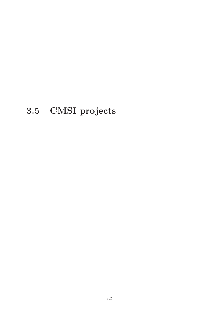# **3.5 CMSI projects**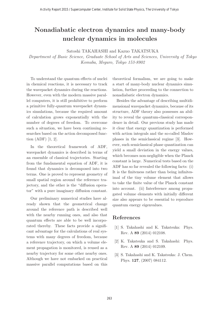# **Nonadiabatic electron dynamics and many-body nuclear dynamics in molecules**

Satoshi TAKAHASHI and Kazuo TAKATSUKA

Department of Basic Science, Graduate School of Arts and Sciences, University of Tokyo Komaba, Meguro, Tokyo 153-8902

To understand the quantum effects of nuclei in chemical reactions, it is necessary to track the wavepacket dynamics during the reactions. However, even with the modern massive parallel computers, it is still prohibitive to perform a primitive fully-quantum wavepacket dynamics simulations, because the required amount of calculation grows exponentially with the number of degrees of freedom. To overcome such a situation, we have been continuing researches based on the action decomposed function (ADF) [1, 2].

In the theoretical framework of ADF, wavepacket dynamics is described in terms of an ensemble of classical trajectories. Starting from the fundamental equation of ADF, it is found that dynamics is decomposed into two terms. One is proved to represent geometry of small spatial region around the reference trajectory, and the other is the "diffusion operator" with a pure imaginary diffusion constant.

Our preliminary numerical studies have already shown that the geometrical change around the reference path is described well with the nearby running ones, and also that quantum effects are able to be well incorporated thereby. These facts provide a significant advantage for the calculations of real systems with many degrees of freedom, because a reference trajectory, on which a volume element propagation is monitored, is reused as a nearby trajectory for some other nearby ones. Although we have not embarked on practical massive parallel computations based on this theoretical formalism, we are going to make a start of many-body nuclear dynamics simulation, further proceeding to the connection to nonadiabatic electron dynamics.

Besides the advantage of describing multidimensional wavepacket dynamics, because of its structure, ADF theory also possesses an ability to reveal the quantum-classical correspondence in detail. Our previous study has made it clear that energy quantization is performed with action integrals and the so-called Maslov phases in the semiclassical regime [3]. However, such semiclassical phase quantization can yield a small deviation in the energy values, which becomes non-negligible when the Planck constant is large. Numerical tests based on the ADF has so far revealed the following facts: (i) It is the finiteness rather than being infinitesimal of the tiny volume element that allows to take the finite value of the Planck constant into account. (ii) Interference among propagated volume elements with initially different size also appears to be essential to reproduce quantum energy eigenvalues.

- [1] S. Takahashi and K. Takatsuka: Phys. Rev. A **89** (2014) 012108.
- [2] K. Takatsuka and S. Takahashi: Phys. Rev. A **89** (2014) 012109.
- [3] S. Takahashi and K. Takatsuka: J. Chem. Phys. **127**, (2007) 084112.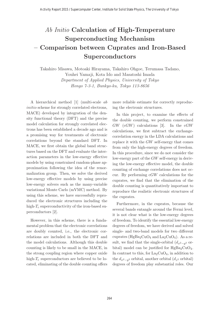# Ab Initio **Calculation of High-Temperature Superconducting Mechanism – Comparison between Cuprates and Iron-Based Superconductors**

Takahiro Misawa, Motoaki Hirayama, Takahiro Ohgoe, Terumasa Tadano, Youhei Yamaji, Kota Ido and Masatoshi Imada Department of Applied Physics, University of Tokyo Hongo 7-3-1, Bunkyo-ku, Tokyo 113-8656

A hierarchical method [1] (multi-scale ab initio scheme for strongly correlated electrons, MACE) developed by integration of the density functional theory (DFT) and the precise model calculation for strongly correlated electrons has been established a decade ago and is a promising way for treatments of electronic correlations beyond the standard DFT. In MACE, we first obtain the global band structures based on the DFT and evaluate the interaction parameters in the low-energy effective models by using constrained random-phase approximation following the idea of the renormalization group. Then, we solve the derived low-energy effective models by using precise low-energy solvers such as the many-variable variational Monte Carlo (mVMC) method. By using this scheme, we have successfully reproduced the electronic structures including the high- $T_c$  superconductivity of the iron-based superconductors [2].

However, in this scheme, there is a fundamental problem that the electronic correlations are doubly counted, i.e., the electronic correlations are included in both the DFT and the model calculations. Although this double counting is likely to be small in the MACE, in the strong coupling region where copper oxide high- $T_c$  superconductors are believed to be located, eliminating of the double counting offers

more reliable estimate for correctly reproducing the electronic structures.

In this project, to examine the effects of the double counting, we perform constrained  $GW$  (cGW) calculations [3]. In the cGW calculations, we first subtract the exchangecorrelation energy in the LDA calculations and replace it with the GW self-energy that comes from only the high-energy degrees of freedom. In this procedure, since we do not consider the low-energy part of the GW self-energy in deriving the low-energy effective model, the double counting of exchange correlations does not occur. By performing  $cGW$  calculations for the cuprates, we find that the elimination of the double counting is quantitatively important to reproduce the realistic electronic structures of the cuprates.

Furthermore, in the cuprates, because the several bands entangle around the Fermi level, it is not clear what is the low-energy degrees of freedom. To identify the essential low-energy degrees of freedom, we have derived and solved single- and two-band models for two different cuprates (HgBa<sub>2</sub>CuO<sub>4</sub> and La<sub>2</sub>CuO<sub>4</sub>). As a result, we find that the single-orbital  $(d_{x^2-y^2})$  orbital) model can be justified for  $HgBa_2CuO_4$ . In contrast to this, for  $La_2CuO_4$ , in addition to the  $d_{x^2-y^2}$  orbital, another orbital  $(d_{z^2}$  orbital) degrees of freedom play substantial roles. Our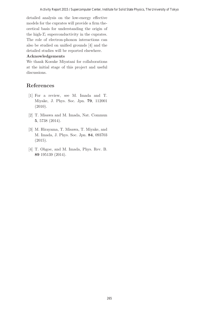detailed analysis on the low-energy effective models for the cuprates will provide a firm theoretical basis for understanding the origin of the high- $T_c$  superconductivity in the cuprates. The role of electron-phonon interactions can also be studied on unified grounds [4] and the detailed studies will be reported elsewhere.

#### **Acknowledgements**

We thank Kosuke Miyatani for collaborations at the initial stage of this project and useful discussions.

- [1] For a review, see M. Imada and T. Miyake, J. Phys. Soc. Jpn. **79**, 112001 (2010).
- [2] T. Misawa and M. Imada, Nat. Commun **5**, 5738 (2014).
- [3] M. Hirayama, T. Misawa, T. Miyake, and M. Imada, J. Phys. Soc. Jpn. **84**, 093703 (2015).
- [4] T. Ohgoe, and M. Imada, Phys. Rev. B. **89** 195139 (2014).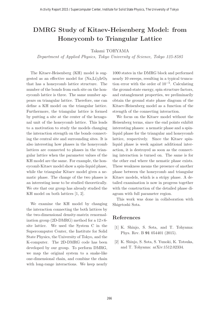# **DMRG Study of Kitaev-Heisenberg Model: from Honeycomb to Triangular Lattice**

#### Takami TOHYAMA

Department of Applied Physics, Tokyo University of Science, Tokyo 125-8585

The Kitaev-Heisenberg (KH) model is suggested as an effective model for  $(Na,Li)_2IrO_3$ that has a honeycomb lattice structure. The number of the bonds from each site on the honeycomb lattice is three. The same number appears on triangular lattice. Therefore, one can define a KH model on the triangular lattice. Furthermore, the triangular lattice is formed by putting a site at the center of the hexagonal unit of the honeycomb lattice. This leads to a motivation to study the models changing the interaction strength on the bonds connecting the central site and surrounding sites. It is also interesting how phases in the honeycomb lattices are connected to phases in the triangular lattice when the parameter values of the KH model are the same. For example, the honeycomb Kitaev model show a spin-liquid phase, while the triangular Kitaev model gives a nematic phase. The change of the two phases is an interesting issue to be studied theoretically. We ote that our group has already studied the KH model on both lattices [1, 2].

We examine the KH model by changing the interaction connecting the both lattices by the two-dimensional density-matrix renormalization group (2D-DMRG) method for a  $12\times 6$ site lattice. We used the System C in the Supercomputer Center, the Institute for Solid State Physics, the University of Tokyo, and the K-computer. The 2D-DMRG code has been developed by our group. To perform DMRG, we map the original system to a snake-like one-dimensional chain, and combine the chain with long-range interactions. We keep nearly

1000 states in the DMRG block and performed nearly 10 sweeps, resulting in a typical truncation error with the order of  $10^{-5}$ . Calculating the ground-state energy, spin structure factors, and entanglement properties, we preliminarily obtain the ground state phase diagram of the Kitaev-Heisenberg model as a function of the strength of the connecting interaction.

We focus on the Kitaev model without the Heisenberg terms, since the end points exhibit interesting phases: a nematic phase and a spinliquid phase for the triangular and honeycomb lattice, respectively. Since the Kitaev spinliquid phase is week against additional interaction, it is destroyed as soon as the connecting interaction is turned on. The same is for the other end where the nematic phase exists. These weakness means the presence of another phase between the honeycomb and triangular Kitaev models, which is a stripy phase. A detailed examination is now in progress together with the construction of the detailed phase diagram with full parameter region.

This work was done in collaboration with Shigetoshi Sota.

- [1] K. Shinjo, S. Sota, and T. Tohyama: Phys. Rev. B **91** 054401 (2015).
- [2] K. Shinjo, S. Sota, S. Yunoki, K. Totsuka, and T. Tohyama: arXiv:1512.02334.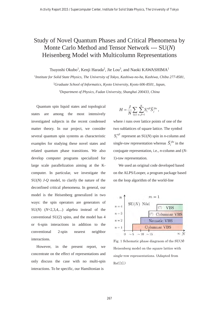# Study of Novel Quantum Phases and Critical Phenomena by Monte Carlo Method and Tensor Network --- SU(*N*) Heisenberg Model with Multicolumn Representations

Tsuyoshi Okubo<sup>1</sup>, Kenji Harada<sup>2</sup>, Jie Lou<sup>3</sup>, and Naoki KAWASHIMA<sup>1</sup>

1 *Institute for Solid State Physics, The University of Tokyo, Kashiwa-no-ha, Kashiwa, Chiba 277-8581,* 2 *Graduate School of Informatics, Kyoto University, Kyoto 606-8501, Japan,* 3 *Department of Physics, Fudan University, Shanghai 200433, China*

Quantum spin liquid states and topological states are among the most intensively investigated subjects in the recent condensed matter theory. In our project, we consider several quantum spin systems as characteristic examples for studying these novel states and related quantum phase transitions. We also develop computer programs specialized for large scale parallelization aiming at the Kcomputer. In particular, we investigate the SU(*N*) *J*-*Q* model, to clarify the nature of the deconfined critical phenomena. In general, our model is the Heisenberg generalized in two ways: the spin operators are generators of SU(*N*) (*N*=2,3,4,...) algebra instead of the conventional SU(2) spins, and the model has 4 or 6-spin interactions in addition to the conventional 2-spin nearest neighbor interactions.

However, in the present report, we concentrate on the effect of representations and only discuss the case with no multi-spin interactions. To be specific, our Hamiltonian is

$$
H = \frac{J}{N} \sum_{(ij)} \sum_{\alpha,\beta=1}^N S_i^{\alpha\beta} \overline{S}_j^{\beta\alpha} ,
$$

where *i* runs over lattice points of one of the two sublattices of square lattice. The symbol  $S_i^{\alpha\beta}$  represent an SU(*N*) spin in *n*-column and single-raw representation whereas  $\overline{S}^{\beta\alpha}$  in the conjugate representation, i.e., *n*-column and (*N-*1)-raw representation.

We used an original code developed based on the ALPS/Looper, a program package based on the loop algorithm of the world-line



Fig. 1 Schematic phase diagraom of the  $SU(N)$ Heisenberg model on the square lattice with single-row representations. (Adapted from Ref.[1].)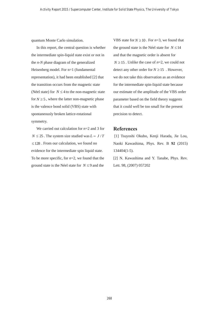quantum Monte Carlo simulation.

In this report, the central question is whether the intermediate spin-liquid state exist or not in the *n-N* phase diagram of the generalized Heisenberg model. For n=1 (fundamental representation), it had been established [2] that the transition occurs from the magnetic state (Néel state) for  $N \leq 4$  to the non-magnetic state for  $N \geq 5$ , where the latter non-magnetic phase is the valence bond solid (VBS) state with spontaneously broken lattice-rotational symmetry.

We carried out calculation for *n*=2 and 3 for  $N \le 25$ . The system size studied was  $L = J/T$  $\leq$  128. From our calculation, we found no evidence for the intermediate spin liquid state. To be more specific, for *n*=2, we found that the ground state is the Néel state for  $N \leq 9$  and the

VBS state for  $N \ge 10$ . For  $n=3$ , we found that the ground state is the Néel state for  $N \leq 14$ and that the magnetic order is absent for  $N \ge 15$ . Unlike the case of *n*=2, we could not detect any other order for  $N \ge 15$ . However, we do not take this observation as an evidence for the intermediate spin-liquid state because our estimate of the amplitude of the VBS order parameter based on the field theory suggests that it could well be too small for the present precision to detect.

#### **References**

[1] Tsuyoshi Okubo, Kenji Harada, Jie Lou, Naoki Kawashima, Phys. Rev. B **92** (2015) 134404(1-5).

[2] N. Kawashima and Y. Tanabe, Phys. Rev. Lett. 98, (2007) 057202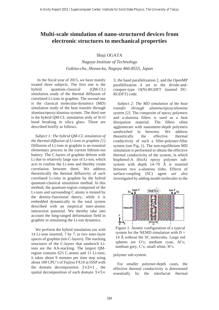### **Multi-scale simulation of nano-structured devices from electronic structures to mechanical properties**

Shuji OGATA

*Nagoya Institute of Technology Gokiso-cho, Showa-ku, Nagoya 466-8555, Japan*

 In the fiscal year of 2015, we have mainly treated three subjects. The first one is the hybrid quantum-classical (QM-CL) simulation study of the thermal diffusion of correlated Li-ions in graphite. The second one is the classical molecular-dynamics (MD) simulation study of the heat transfer through alumina/epoxy/alumina system. The third one is the hybrid QM-CL simulation stidy of Si-O bond breaking in silica glass. Those are described briefly as follows.

 *Subject 1: The hybrid QM-CL simulation of the thermal diffusion of Li-ions in graphite [1]*. Diffusion of Li-ions in graphite is an essential elementary process in the current lithium-ion battery. The C-layers of graphite deform with Li due to relatively large size of Li-ion, which acts to confine the Li-ions and thereby create correlation between them. We address theoretically the thermal diffusivity of such correlated Li-ions in graphite by the hybrid quantum-classical simulation method. In this method, the quantum-region composed of the Li-ions and surrounding C atoms is treated by the density-functional theory, while it is embedded dynamically in the total system described with an empirical inter-atomic interaction potential. We thereby take into account the long-ranged deformation field in graphite in simulating the Li-ion dynamics.

 We perform the hybrid simulation run with 14 Li-ions inserted, 7 by 7, to two inter-layer spaces of graphite (ten C-layers). The stacking structures of the C-layers that sandwich Liions are the AA-stacking. The largest QMregion contains 625 C-atoms and 11 Li-ions; it takes about 9 minutes per time step using about 100 CPU's of Fujitsu FX10 at ISSP with the domain decomposition  $2 \times 2 \times 1$ , the spatial decomposition of each domain  $5\times5\times$  3, the band parallelization 2, and the OpenMP parallelization 4 set in the divide-andconquer-type O(N)-RGDFT (named DC-RGDFT) code.

 *Subject 2: The MD simulation of the heat transfer through alumina/epoxy/alumina system [2].* The composite of epoxy polymers and a-alumina fillers is used as a heat dissipation material. The fillers often agglomerate with nanometer-depth polymers sandwiched in between. We address theoretically the effective thermal conductivity of such a filler-polymer-filler system (see Fig. 1). The non-equilibrium MD simulation is performed to obtain the effective thermal conductivity of the system, in which bisphenol-A (bisA) epoxy polymer subsystem with depth 14–70 Å is inserted between two a-alumina slabs. Effects of surface-coupling (SC) agent are also investigated by adding model molecules to the



Figure 1: Atomic configuration of a typical system for the NEMD simulation with  $D =$ 14 Å without the SC molecules. Large red spheres are O's; medium cyan, Al's; medium grey, C's; small white, H's.

polymer sub-system.

 For smaller polymer-depth cases, the effective thermal conductivity is determined essentially by the interfacial thermal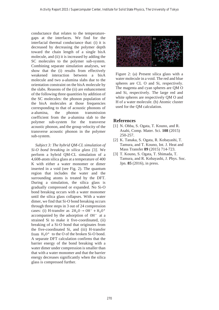conductance that relates to the temperaturegaps at the interfaces. We find for the interfacial thermal conductance that: (i) it is decreased by decreasing the polymer depth toward the chain length of a single bisA molecule, and (ii) it is increased by adding the SC molecules to the polymer sub-system. Combining separate simulation analyses, we show that the (i) results from effectively weakened interaction between a bisA molecule and two a-alumina slabs due to the orientation constraint on the bisA molecule by the slabs. Reasons of the (ii) are enhancement of the following three quantities by addition of the SC molecules: the phonon population of the bisA molecules at those frequencies corresponding to that of acoustic phonons of a-alumina, the phonon transmission coefficient from the a-alumina slab to the polymer sub-system for the transverse acoustic phonon, and the group velocity of the transverse acoustic phonon in the polymer sub-system.

 *Subject 3: The hybrid QM-CL simulation of Si-O bond breaking in silica glass [3].* We perform a hybrid QM-CL simulation of a 4,608-atom silica glass at a temperature of 400 K with either a water monomer or dimer inserted in a void (see Fig. 2). The quantum region that includes the water and the surrounding atoms is treated by the DFT. During a simulation, the silica glass is gradually compressed or expanded. No Si-O bond breaking occurs with a water monomer until the silica glass collapses. With a water dimer, we find that Si-O bond breaking occurs through three steps in 3 out of 24 compression cases: (i) H-transfer as  $2H_2O \rightarrow OH^- + H_3O^+$ accompanied by the adsorption of  $OH^-$  at a strained Si to make it five-coordinated, (ii) breaking of a Si-O bond that originates from the five-coordinated Si, and (iii) H-transfer from  $H_3O^+$  to the O of the broken Si-O bond. A separate DFT calculation confirms that the barrier energy of the bond breaking with a water dimer under compression is smaller than that with a water monomer and that the barrier energy decreases significantly when the silica glass is compressed further.



Figure 2: (a) Present silica glass with a water molecule in a void. The red and blue spheres are CL O and Si, respectively. The magenta and cyan spheres are QM O and Si, respectively. The large red and white spheres are respectively QM O and H of a water molecule. (b) Atomic cluster used for the QM calculation.

- [1] N. Ohba, S. Ogata, T. Kouno, and R. Asahi, Comp. Mater. Sci. **108** (2015) 250-257.
- [2] K. Tanaka, S. Ogata, R. Kobayashi, T. Tamura, and T. Kouno, Int. J. Heat and Mass Transfer **89** (2015) 714-723.
- [3] T. Kouno, S. Ogata, T. Shimada, T. Tamura, and R. Kobayashi, J. Phys. Soc. Jpn. **85** (2016), in press.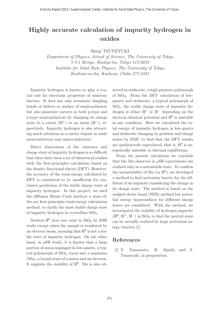# **Highly accurate calculation of impurity hydrogen in oxides**

Shinji TSUNEYUKI

Department of Physics, School of Science, The University of Tokyo 7-3-1 Hongo, Bunkyo-ku, Tokyo 113-0033 Institute for Solid State Physics, The University of Tokyo Kashiwa-no-ha, Kashiwa, Chiba 277-8581

Impurity hydrogen is known to play a crucial role for electronic properties of semiconductors. It does not only terminate dangling bonds of defects or surface of semiconductors but also passivate carriers in both p-type and n-type semiconductors by changing its charge state to a cation  $(H^+)$  or an anion  $(H^-)$ , respectively. Impurity hydrogen is also attracting much attention as a carrier dopant in oxide semiconductors and superconductors.

Direct observation of the existence and charge state of impurity hydrogen is so difficult that there have been a lot of theoretical studies with the first-principles calculation based on the density functional theory (DFT). However, the accuracy of the total energy calculated by DFT is considered to be insufficient for conclusive prediction of the stable charge state of impurity hydrogen. In this project, we used the diffusion Monte Carlo method, a state-ofthe-art first-principles total-energy calculation method, to clarify the most stable charge state of impurity hydrogen in crystalline  $SiO<sub>2</sub>$ ,

Neutral  $H^0$  does not exist in  $SiO<sub>2</sub>$  by ESR study except when the sample is irradiated by an electron beam, meaning that  $H^0$  is not a stable state of impurity hydrogen. On the other hand, in  $\mu$ SR study, it is known that a large portion of muon impinged in low-quartz, a typical polymorph of  $SiO<sub>2</sub>$ , turns into a muonium (Mu), a bound state of a muon and an electron. It suggests the stability of  $H^0$ . Mu is also observed in stishovite, a high-pressure polymorph of  $SiO<sub>2</sub>$ . From the DFT calculation of lowquartz and stishovite, a typical polymorph of  $SiO<sub>2</sub>$ , the stable charge state of impurity hydrogen is either  $H^+$  or  $H^-$  depending on the electron chemical potential and  $H^0$  is unstable in any condition. Here we calculated the total energy of impurity hydrogen in low-quartz and stishovite changing its position and charge states by DMC to find that the DFT results are qualitatively reproduced, that is,  $H^0$  is energetically unstable in thermal equilibrium.

From the present calculation we conclude that the Mu observed in  $\mu$ SR experiments are realized only as a metastable state. To confirm the metastability of Mu (or  $H^0$ ), we developed a method to find activation barrier for the diffusion of an impurity considering the change in its charge state. The method is based on the nudged elastic band (NEB) method but potential energy hypersurfaces for different charge states are considered. With the method, we investigated the stability of hydrogen impurity  $(H<sup>0</sup>, H<sup>+</sup>, H<sup>-</sup>)$  in SiO<sub>2</sub> to find the neutral state can be actually realized by large activation energy barriers [1].

### **References**

[1] Y. Yamamoto, R. Akashi and S. Tsuneyuki, in preparation.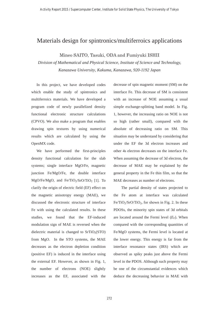### Materials design for spintronics/multiferroics applications

Mineo SAITO, Tasuki, ODA and Fumiyuki ISHII

*Division of Mathematical and Physical Science, Institute of Science and Technology, Kanazawa University, Kakuma, Kanazawa, 920-1192 Japan*

In this project, we have developed codes which enable the study of spintronics and multiferroics materials. We have developed a program code of newly parallelized density functional electronic structure calculations (CPVO). We also make a program that enables drawing spin textures by using numerical results which are calculated by using the OpenMX code.

We have performed the first-principles density functional calculation for the slab systems; single interface MgO/Fe, magnetic junction Fe/MgO/Fe, the double interface  $MgO/Fe/MgO$ , and  $Fe/TiO<sub>2</sub>/SrO/TiO<sub>2</sub>$  [1]. To clarify the origin of electric field (EF) effect on the magnetic anisotropy energy (MAE), we discussed the electronic structure of interface Fe with using the calculated results. In these studies, we found that the EF-induced modulation sign of MAE is reversed when the dielectric material is changed to  $SrTiO<sub>2</sub>(STO)$ from MgO. In the STO systems, the MAE decreases as the electron depletion condition (positive EF) is induced in the interface using the external EF. However, as shown in Fig. 1, the number of electrons (NOE) slightly increases as the EF, associated with the

decrease of spin magnetic moment (SM) on the interface Fe. This decrease of SM is consistent with an increase of NOE assuming a usual simple exchange-splitting band model. In Fig. 1, however, the increasing ratio on NOE is not so high (rather small), compared with the absolute of decreasing ratio on SM. This situation may be understand by considering that under the EF the 3d electron increases and other 4s electron decreases on the interface Fe. When assuming the decrease of 3d electron, the decrease of MAE may be explained by the general property in the Fe thin film, so that the MAE decreases as number of electrons.

The partial density of states projected to the Fe atom at interface was calculated  $Fe/TiO_2/SrO/TiO_2$ , for shown in Fig. 2. In these PDOSs, the minority spin states of 3d orbitals are located around the Fermi level  $(E_F)$ . When compared with the corresponding quantities of Fe/MgO systems, the Fermi level is located at the lower energy. This energy is far from the interface resonance states (IRS) which are observed as spiky peaks just above the Fermi level in the PDOS. Although such property may be one of the circumstantial evidences which deduce the decreasing behavior in MAE with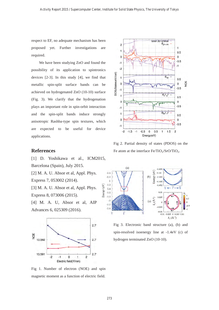respect to EF, no adequate mechanism has been proposed yet. Further investigations are required.

We have been studying ZnO and found the possibility of its application to spintronics devices [2-3]. In this study [4], we find that metallic spin-split surface bands can be achieved on hydrogenated ZnO (10-10) surface (Fig. 3). We clarify that the hydrogenation plays an important role in spin-orbit interaction and the spin-split bands induce strongly anisotropic Rashba-type spin textures, which are expected to be useful for device applications.



[1] D. Yoshikawa et al., ICM2015, Barcelona (Spain), July 2015. [2] M. A. U. Absor et al, Appl. Phys. Express 7, 053002 (2014). [3] M. A. U. Absor et al, Appl. Phys.

Express 8, 073006 (2015).

[4] M. A. U, Absor et al, AIP Advances 6, 025309 (2016).



Fig 1. Number of electron (NOE) and spin magnetic moment as a function of electric field.



Fig 2. Partial density of states (PDOS) on the Fe atom at the interface  $Fe/TiO_2/SrO/TiO_2$ .



Fig 3. Electronic band structure (a), (b) and spin-resolved isoenergy line at -1.4eV (c) of hydrogen terminated ZnO (10-10).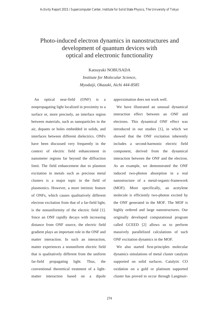## Photo-induced electron dynamics in nanostructures and development of quantum devices with optical and electronic functionality

Katsuyuki NOBUSADA *Institute for Molecular Science, Myodaiji, Okazaki, Aichi 444-8585*

 An optical near-field (ONF) is a nonpropagating light localized in proximity to a surface or, more precisely, an interface region between materials, such as nanoparticles in the air, dopants or holes embedded in solids, and interfaces between different dielectrics. ONFs have been discussed very frequently in the context of electric field enhancement in nanometer regions far beyond the diffraction limit. The field enhancement due to plasmon excitation in metals such as precious metal clusters is a major topic in the field of plasmonics. However, a more intrinsic feature of ONFs, which causes qualitatively different electron excitation from that of a far-field light, is the nonuniformity of the electric field [1]. Since an ONF rapidly decays with increasing distance from ONF source, the electric field gradient plays an important role in the ONF and matter interaction. In such an interaction, matter experiences a nonuniform electric field that is qualitatively different from the uniform far-field propagating light. Thus, the conventional theoretical treatment of a lightmatter interaction based on a dipole

approximation does not work well.

 We have illustrated an unusual dynamical interaction effect between an ONF and electrons. This dynamical ONF effect was introduced in our studies [1], in which we showed that the ONF excitation inherently includes a second-harmonic electric field component, derived from the dynamical interaction between the ONF and the electron. As an example, we demonstrated the ONF induced two-photon absorption in a real nanostructure of a metal-organic-framework (MOF). More specifically, an acetylene molecule is efficiently two-photon excited by the ONF generated in the MOF. The MOF is highly ordered and large nanostructures. Our originally developed computational program called GCEED [2] allows us to perform massively parallelized calculations of such ONF excitation dynamics in the MOF.

 We also started first-principles molecular dynamics simulations of metal cluster catalysts supported on solid surfaces. Catalytic CO oxidation on a gold or platinum supported cluster has proved to occur through Langmuir-

274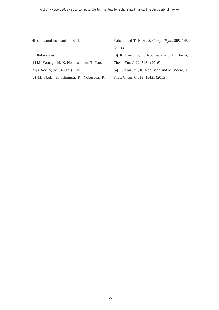Hinshelwood mechanism [3,4].

#### **References**

[1] M. Yamaguchi, K. Nobusada and T. Yatsui, *Phys. Rev. A*, **92**, 043809 (2015).

[2] M. Noda, K. Ishimura, K. Nobusada, K.

Yabana and T. Boku, *J. Comp. Phys.*, **265**, 145 (2014).

[3] K. Koizumi, K. Nobusada and M. Boero,

Chem. Eur. J. 22, 5181 (2016).

[4] K. Koizumi, K. Nobusada and M. Boero, J.

Phys. Chem. C 119, 15421 (2015).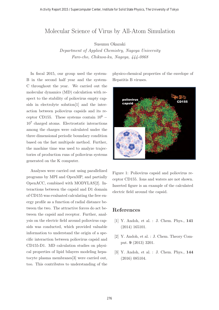### Molecular Science of Virus by All-Atom Simulation

Susumu Okazaki

Department of Applied Chemistry, Nagoya University Furo-cho, Chikusa-ku, Nagoya, 444-0868

In fiscal 2015, our group used the system-B in the second half year and the system-C throughout the year. We carried out the molecular dynamics (MD) calculation with respect to the stability of poliovirus empty capsids in electrolyte solution[1] and the interaction between poliovirus capsids and its receptor CD155. These systems contain  $10^6$  –  $10<sup>7</sup>$  charged atoms. Electrostatic interactions among the charges were calculated under the three dimensional periodic boundary condition based on the fast multipole method. Further, the machine time was used to analyze trajectories of production runs of poliovirus systems generated on the K computer.

Analyses were carried out using parallelized programs by MPI and OpenMP, and partially OpenACC, combined with MODYLAS[2]. Interactions between the capsid and D1 domain of CD155 was evaluated calculating the free energy profile as a function of radial distance between the two. The attractive forces do act between the capsid and receptor. Further, analysis on the electric field around poliovirus capsids was conducted, which provided valuable information to understand the origin of a specific interaction between poliovirus capsid and CD155-D1. MD calculation studies on physical properties of lipid bilayers modeling hepatocyte plasma membranes[3] were carried out, too. This contributes to understanding of the

physico-chemical properties of the envelope of Hepatitis B viruses.



Figure 1: Poliovirus capsid and poliovirus receptor CD155. Ions and waters are not shown. Inserted figure is an example of the calculated electric field around the capsid.

- [1] Y. Andoh, et al. : J. Chem. Phys., **141** (2014) 165101.
- [2] Y. Andoh, et al. : J. Chem. Theory Comput. **9** (2013) 3201.
- [3] Y. Andoh, et al. : J. Chem. Phys., **144** (2016) 085104.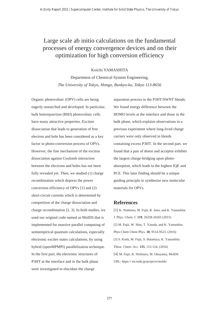## Large scale ab initio calculations on the fundamental processes of energy convergence devices and on their optimization for high conversion efficiency

#### Koichi YAMASHITA

### Department of Chemical System Engineering*, The University of Tokyo, Hongo, Bunkyo-ku, Tokyo 113-8656*

Organic photovoltaic (OPV) cells are being eagerly researched and developed. In particular, bulk heterojunction (BHJ) photovoltaic cells have many attractive properties. Exciton dissociation that leads to generation of free electron and hole has been considered as a key factor in photo-conversion process of OPVs. However, the fine mechanism of the exciton dissociation against Coulomb interaction between the electrons and holes has not been fully revealed yet. Then, we studied (1) charge recombination which depress the power conversion efficiency of OPVs [1] and (2) short-circuit currents which is determined by competition of the charge dissociation and charge recombination [2, 3]. In both studies, we used our original code named as MolDS that is implemented for massive parallel computing of semiempirical quantum calculations, especially electronic excites states calculations, by using hybrid (openMPMPI) parallelization technique. In the first part, the electronic structures of P3HT at the interface and in the bulk phase were investigated to elucidate the charge

separation process in the P3HT/SWNT blends. We found energy difference between the HOMO levels at the interface and those in the bulk phase, which explains observations in a previous experiment where long-lived charge carriers were only observed in blends containing excess P3HT. In the second part, we found that a pair of donor and acceptor exhibits the largest charge-bridging upon photoabsorption, which leads to the highest IQE and PCE. This later finding should be a unique guiding principle to synthesize new molecular materials for OPVs.

#### **References**

[1] K. Nishimra, M. Fujii, R. Jono, and K. Yamashita: J. Phys. Chem. C **119**, 26258-26265 (2015) [2] M. Fujii, W. Shin, T. Yasuda, and K. Yamashita: Phys Chem Chem Phys. **18**, 9514-9523, (2016) [3] S. Koda, M. Fujii, S. Hatamiya, K. Yamashita: Theor. Chem. Acc. **135**, 115-124, (2016) [4] M. Fujii, K. Nishimra, M. Okuyama, MolDS URL: https:// en.osdn.jp/projects/molds/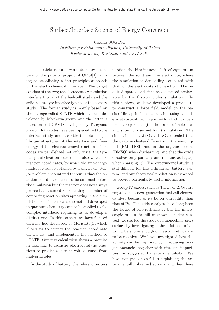# $S$  and  $S$  and  $S$  is the conversion of  $S$  and  $S$   $\rightarrow$   $S$   $\rightarrow$   $S$   $\rightarrow$   $S$   $\rightarrow$   $S$   $\rightarrow$   $S$   $\rightarrow$   $S$   $\rightarrow$   $S$   $\rightarrow$   $S$   $\rightarrow$   $S$   $\rightarrow$   $S$   $\rightarrow$   $S$   $\rightarrow$   $S$   $\rightarrow$   $S$   $\rightarrow$   $S$   $\rightarrow$   $S$   $\rightarrow$   $S$   $\rightarrow$   $S$   $\rightarrow$   $S$   $\rightarrow$

Institute for Solid State Physics, University of Tokyo Kashiwa-no-ha, Kashiwa, Chiba 277-8581

This article reports work done by members of the priority project of CMSI[1], aiming at establishing a first-principles approach to the electrochemical interface. The target consists of the two; the electrocatalyst-solution interface typical of the fuel-cell study and the solid-electrolyte interface typical of the battery study. The former study is mainly based on the package called STATE which has been developed by Morikawa group, and the latter is based on stat-CPMD developed by Tateyama group. Both codes have been specialized to the interface study and are able to obtain equilibrium structures of the interface and freeenergy of the electrochemical reactions: The codes are parallelized not only w.r.t. the typical parallelization axes[2] but also w.r.t. the reaction coordinates, by which the free-energy landscape can be obtained by a single run. Major problem encountered therein is that the reaction coordinate needs to be assumed before the simulation but the reaction does not always proceed as assumed[3], reflecting a number of competing reaction sites appearing in the simulation cell. This means the method developed in quantum chemistry cannot be applied to the complex interface, requiring us to develop a distinct one. In this context, we have focused on a method developed by Morishita[4], which allows us to correct the reaction coordinate on the fly, and implemented the method to STATE. Our test calculation shows a promise in applying to realistic electrocatalytic reactions to predict a current voltage curve from first-principles.

In the study of battery, the relevant process

is often the bias-induced shift of equilibrium between the solid and the electrolyte, where the simulation is demanding compared with that for the electrocatalytic reaction. The required spatial and time scales exceed achievable by the first-principles simulation. In this context, we have developed a procedure to construct a force field model on the basis of first-principles calculation using a modern statistical technique with which to perform a larger-scale (ten thousands of molecules and sub-micro second long) simulation. The simulation on  $2Li+O<sub>2</sub> \rightleftarrows Li<sub>2</sub>O<sub>2</sub>$  revealed that the oxide nucleates differently in the ionic liquid (EMI-TFSI) and in the organic solvent (DMSO) when discharging, and that the oxide dissolves only partially and remains as  $\text{Li}_3\text{O}_2^+$ when charging [5]. The experimental study is still difficult for this lithium-air battery system, and our theoretical prediction is expected to provide particularly useful information.

Group IV oxides, such as  $Ta_2O_5$  or  $ZrO_2$ , are regarded as a next-generation fuel-cell electrocatalyst because of its better durability than that of Pt. The oxide catalysts have long been the target of electrochemistry but the microscopic process is still unknown. In this context, we started the study of a monoclinic  $\rm ZrO_2$ surface by investigating if the pristine surface would be active enough or needs modification to be reactive. We have investigated how the activity can be improved by introducing oxygen vacancies together with nitrogen impurities, as suggested by experimentalists. We have not yet successful in explaining the experimentally observed activity and thus there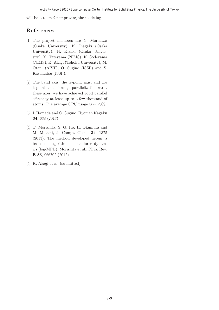will be a room for improving the modeling.

- [1] The project members are Y. Morikawa (Osaka University), K. Inagaki (Osaka University), H. Kizaki (Osaka University), Y. Tateyama (NIMS), K. Sodeyama (NIMS), K. Akagi (Tohoku University), M. Otani (AIST), O. Sugino (ISSP) and S. Kasamatsu (ISSP).
- [2] The band axis, the G-point axis, and the k-point axis. Through parallelization w.r.t. these axes, we have achieved good parallel efficiency at least up to a few thousand of atoms. The average CPU usage is  $\sim 20\%$ .
- [3] I. Hamada and O. Sugino, Hyomen Kagaku **34**, 638 (2013).
- [4] T. Morishita, S. G. Ito, H. Okumura and M. Mikami, J. Compt. Chem. **34**, 1375 (2013). The method developed herein is based on logarithmic mean force dynamics (log-MFD); Morishita et al., Phys. Rev. **E 85**, 066702 (2012).
- [5] K. Akagi et al. (submitted)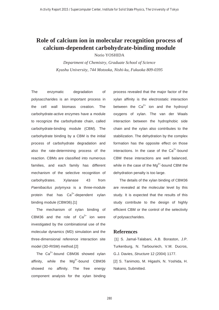# **Role of calcium ion in molecular recognition process of calcium-dependent carbohydrate-binding module**

Norio YOSHIDA

*Department of Chemistry, Graduate School of Science Kyushu University, 744 Motooka, Nishi-ku, Fukuoka 809-0395*

The enzymatic degradation of polysaccharides is an important process in the cell wall biomass creation. The carbohydrate-active enzymes have a module to recognize the carbohydrate chain, called carbohydrate-binding module (CBM). The carbohydrate binding by a CBM is the initial process of carbohydrate degradation and also the rate-determining process of the reaction. CBMs are classified into numerous families, and each family has different mechanism of the selective recognition of carbohydrates. Xylanase 43 from *Paenibacilus polymyxa* is a three-module protein that has  $Ca^{2+}$ -dependent xylan binding module (CBM36).[1]

 The mechanism of xylan binding of CBM36 and the role of  $Ca<sup>2+</sup>$  ion were investigated by the combinational use of the molecular dynamics (MD) simulation and the three-dimensional reference interaction site model (3D-RISM) method.[2]

The  $Ca^{2+}$ -bound CBM36 showed xylan affinity, while the  $Mq^{2+}$ -bound CBM36 showed no affinity. The free energy component analysis for the xylan binding process revealed that the major factor of the xylan affinity is the electrostatic interaction between the  $Ca^{2+}$  ion and the hydroxyl oxygens of xylan. The van der Waals interaction between the hydrophobic side chain and the xylan also contributes to the stabilization. The dehydration by the complex formation has the opposite effect on those interactions. In the case of the  $Ca<sup>2+</sup>$ -bound CBM these interactions are well balanced, while in the case of the  $Mg^{2+}$ -bound CBM the dehydration penalty is too large.

 The details of the xylan binding of CBM36 are revealed at the molecular level by this study. It is expected that the results of this study contribute to the design of highly efficient CBM or the control of the selectivity of polysaccharides.

#### **References**

 [1] S. Jamal-Talabani, A.B. Boraston, J.P. Turkenburg, N. Tarbouriech, V.M. Ducros, G.J. Davies, *Structure* 12 (2004) 1177. [2] S. Tanimoto, M. Higashi, N. Yoshida, H. Nakano, Submitted.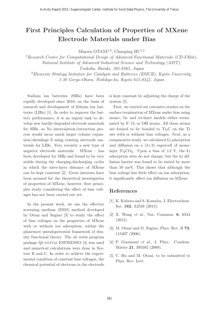# **First Principles Calculation of Properties of MXene Electrode Materials under Bias**

Minoru OTANI<sup>1,2</sup>, Chunping  $HU<sup>1,2</sup>$ 

<sup>1</sup> Research Center for Computational Design of Advanced Functional Materials (CD-FMat), National Institute of Advanced Industrial Science and Technology (AIST), Tsukuba, Ibaraki, 305-8565, Japan

<sup>2</sup>Elements Strategy Initiative for Catalysts and Batteries (ESICB), Kyoto University, 1-30 Goryo-Ohara, Nishikyo-ku, Kyoto 615-8245, Japan

Sodium ion batteries (SIBs) have been rapidly developed since 2010, on the basis of research and development of lithium ion batteries (LIBs) [1]. In order to improve the battery performance, it is an urgent task to develop new hardly-degraded electrode materials for SIBs, as Na intercalation/extraction process would incur much larger volume expansion/shrinkage if using existing electrode materials for LIBs. Very recently a new type of negative electrode materials – MXene – has been developed for SIBs and found to be very stable during the charging-discharging cycles in which the inter-layer distance of MXene can be kept constant [2]. Great interests have been aroused for the theoretical investigation of properties of MXene, however, first principles study considering the effect of bias voltages has not been carried out yet.

In the present work, we use the effective screening medium (ESM) method developed by Otani and Sugino [3] to study the effect of bias voltages on the properties of MXene with or without ion adsorption, within the planewave pseudopotential framework of density functional theory. The ab initio program package Quantum ESPRESSO [4] was used and numerical calculations were done in System B and C. In order to achieve the experimental condition of constant bias voltages, the chemical potential of electrons in the electrode

is kept constant by adjusting the charge of the system [5].

First, we carried out extensive studies on the surface termination of MXene under bias using mono-, bi- and tri-layer models either terminated by F, O, or OH atoms. All these atoms are founed to be bonded to  $Ti<sub>2</sub>C$  on the Ti site with or without bias voltages. Next, as a comparative study, we calculated Li adsorption and diffusion on a  $(3\times3)$  supercell of monolayer Ti<sub>2</sub>CO<sub>2</sub>. Upon a bias of  $\pm$ 2 V, the Li adsorption sites do not change, but the Li diffusion barrier was found to be varied by more than 50 meV. This shows that although the bias voltage has little effect on ion adsorption, it significantly affect ion diffusion on MXene.

- [1] K. Kubota and S. Komaba, J. Electrochem. Soc. **162**, A2538 (2015).
- [2] X. Wang et al., Nat. Commun. **6**, 6544 (2015).
- [3] M. Otani and O. Sugino, Phys. Rev. B **73**, 115407 (2006).
- [4] P. Giannozzi et al., J. Phys.: Condens. Matter **21**, 395502 (2009).
- [5] C. Hu and M. Otani, to be submitted to Phys. Rev. Lett.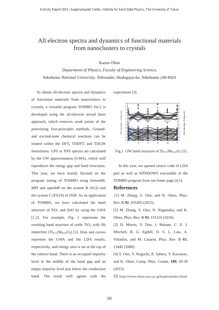### All electron spectra and dynamics of functional materials from nanoclusters to crystals

Kaoru Ohno

*Department of Physics, Faculty of Engineering Science, Yokohama National University, Tokiwadai, Hodogaya-ku, Yokohama 240-8501*

To obtain all-electron spectra and dynamics of functional materials from nanoclusters to crystals, a versatile program TOMBO Ver.2 is developed using the all-electron mixed basis approach, which removes weak points of the preexisting first-principles methods. Groundand excited-state chemical reactions can be treated within the DFT, TDDFT, and TDGW formalisms. UPS or XPS spectra are calculated by the GW approximation (GWA), which well reproduces the energy gap and band structures. This year, we have mainly focused on the program tuning of TOMBO using fortran90, MPI and openMP on the system B (SGI) and the system C (FX10) of ISSP. As an application of TOMBO, we have calculated the band structure of  $TiO<sub>2</sub>$  and ZnO by using the GWA [1,2]. For example, Fig. 1 represents the resulting band structure of rutile  $TiO<sub>2</sub>$  with Nb impurities  $(Ti_{0.75}Nb_{0.25}O_2)$  [1]. Dots and curves represent the GWA and the LDA results, respectively, and energy zero is set at the top of the valence band. There is an occupied impurity level in the middle of the band gap and an empty impurity level just below the conduction band. The result well agrees with the

experiment [3].



Fig.1 GW band structure of  $Ti_{0.75}Nb_{0.25}O_2$  [1].

In this year, we opened source code of LDA part as well as WINDOWS executable of the TOMBO program from our home page [4,5].

#### **References**

[1] M. Zhang, S. Ono, and K. Ohno, Phys. Rev. B **92**, 035205 (2015).

[2] M. Zhang, S. Ono, N. Nagatsuka, and K. Ohno, Phys. Rev. B **93**, 155116 (2016).

[3] D. Morris, Y. Dou, J. Rebane, C. E. J. Mitchell, R. G. Egdell, D. S. L. Law, A. Vittadini, and M. Casarin, Phys. Rev. B **61**, 13445 (2000).

[4] S. Ono, Y. Noguchi, R. Sahara, Y. Kawazoe, and K. Ohno, Comp. Phys. Comm. **189**, 20-30 (2015).

[5] http://www.ohno.ynu.ac.jp/tombo/index.html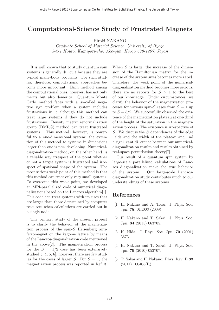### **Computational-Science Study of Frustrated Magnets**

Hiroki NAKANO

Graduate School of Material Science, University of Hyogo 3-2-1 Kouto, Kamigori-cho, Ako-gun, Hyogo 678-1297, Japan

It is well known that to study quantum spin systems is generally di cult because they are typical many-body problems. For such studies, therefore, computational approaches become more important. Each method among the computational ones, however, has not only merits but also demerits. Quantum Monte Carlo method faces with a so-called negative sign problem when a system includes frustrations in it although this method can treat large systems if they do not include frustrations. Density matrix renormalization group (DMRG) method can treat frustrated systems. This method, however, is powerful to a one-dimensional system; the extention of this method to systems in dimensions larger than one is now developing. Numericaldiagonalization method, on the other hand, is a reliable way irrespect of the point whether or not a target system is frustrated and irrespect of spational shape of the system. The most serious weak point of this method is that this method can treat only very small systems. To overcome this weak point, we developed an MPI-parallelized code of numerical diagonalizations based on the Lanczos algorithm[1]. This code can treat systems with its sizes that are larger than those determined by computer resources when calculations are carried out in a single node.

The primary study of the present project is to clarify the behavior of the magnetization process of the spin-S Heisenberg antiferromagnet on the kagome lattice by means of the Lanczos-diagonalization code mentioned in the above[2]. The magnetization process for the  $S = 1/2$  case has been extensively studied  $[3, 4, 5, 6]$ ; however, there are few studies for the cases of larger  $S$ . For  $S = 1$ , the magnetization process was reported in Ref. 3.

When  $S$  is large, the increase of the dimension of the Hamiltonian matrix for the increase of the system sizes becomes more rapid. Therefore, the weak point of the numericaldiagonalization method becomes more serious; there are no reports for  $S > 1$  to the best of our knowledge. Under circumstances, we clarify the behavior of the magnetization processes for various spin-S cases from  $S = 1$  up to  $S = 5/2$ . We successfully observed the existence of the magnetization plateau at one-third of the height of the saturation in the magnetization process. The existence is irrespective of S. We discuss the S dependences of the edge elds and the width of the plateau and nd a signi cant di erence between our numericaldiagonalization results and results obtained by real-space perturbation theory[7].

Our result of a quantum spin system by large-scale parallelized calculations of Lanczos diagonalization make the true behavior of the system. Our large-scale Lanczosdiagonalization study contributes much to our understandings of these systems.

- [1] H. Nakano and A. Terai: J. Phys. Soc. Jpn. **78**, 014003 (2009).
- [2] H. Nakano and T. Sakai: J. Phys. Soc. Jpn. **84** (2015) 063705.
- [3] K. Hida: J. Phys. Soc. Jpn. **70** (2001) 3673.
- [4] H. Nakano and T. Sakai: J. Phys. Soc. Jpn. **79** (2010) 053707.
- [5] T. Sakai and H. Nakano: Phys. Rev. B **83**  $(2011)$  100405(R).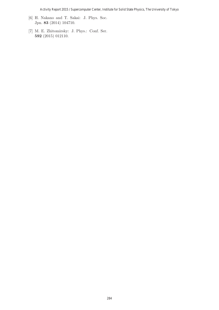- [6] H. Nakano and T. Sakai: J. Phys. Soc. Jpn. **83** (2014) 104710.
- [7] M. E. Zhitomirsky: J. Phys.: Conf. Ser. **592** (2015) 012110.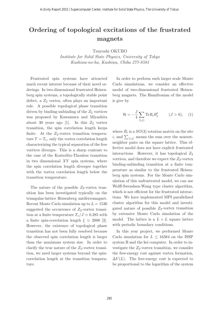# **Ordering of topological excitations of the frustrated magnets**

Institute for Solid State Physics, University of Tokyo Kashiwa-no-ha, Kashiwa, Chiba 277-8581

Frustrated spin systems have attracted much recent interest because of their novel orderings. In two-dimensional frustrated Heisenberg spin systems, a topologically stable point defect, a  $Z_2$  vortex, often plays an important role. A possible topological phase transition driven by binding-unbinding of the  $Z_2$  vortices was proposed by Kawamura and Miyashita about 30 years ago [1]. In this  $Z_2$  vortex transition, the spin correlation length keeps finite. At the  $Z_2$ -vortex transition temperature  $T = T_v$ , only the vortex correlation length characterizing the typical separation of the free vortices diverges. This is a sharp contrast to the case of the Kosterlitz-Thouless transition in two dimensional  $XY$  spin systems, where the spin correlation length diverges together with the vortex correlation length below the transition temperature.

The nature of the possible  $Z_2$ -vortex transition has been investigated typically on the triangular-lattice Heisenberg antiferromagnet. Recent Monte Carlo simulation up to  $L = 1536$ suggested the occurrence of  $Z_2$ -vortex transition at a finite temperature  $T_v/J \simeq 0.285$  with a finite spin-correlation length  $\xi \simeq 2000$  [2]. However, the existence of topological phase transition has not been fully resolved because the observed spin correlation length is larger than the maximum system size. In order to clarify the true nature of the  $Z_2$ -vortex transition, we need larger systems beyond the spincorrelation length at the transition temperature.

In order to perform such larger scale Monte Carlo simulations, we consider an effective model of two-dimensional frustrated Heisenberg magnets. The Hamiltonian of the model is give by

$$
\mathcal{H} = -\frac{J}{4} \sum_{\langle i,j \rangle} \text{Tr} R_i R_j^t \qquad (J > 0), \quad (1)
$$

where  $R_i$  is a  $SO(3)$  rotation matrix on the site  $i,$  and  $\sum_{\langle i,j\rangle}$  means the sum over the nearestneighbor pairs on the square lattice. This effective model does not have explicit frustrated interactions. However, it has topological  $Z_2$ vortices, and therefore we expect the  $Z_2$ -vortex binding-unbinding transition at a finite temperature as similar to the frustrated Heisenberg spin systems. For the Monte Carlo simulation of this unfrustrated model, we can use Wolff-Swendsen-Wang type cluster algorithm, which is not efficient for the frustrated interactions. We have implemented MPI parallelized cluster algorithm for this model and investigated nature of possible  $Z_2$ -vortex transition by extensive Monte Carlo simulation of the model. The lattice is a  $L \times L$  square lattice with periodic boundary conditions.

In this year project, we performed Monte Carlo simulation for  $L < 16384$  on the ISSP system B and the kei computer. In order to investigate the  $Z_2$ -vortex transition, we consider the free-energy cost against vortex formation,  $\Delta V(L)$ . The free-energy cost is expected to be proportional to the logarithm of the system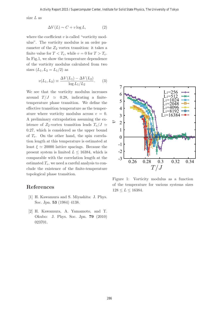size L as

$$
\Delta V(L) \sim C + v \log L,\tag{2}
$$

where the coefficient  $v$  is called "vorticity modulus". The vorticity modulus is an order parameter of the  $Z_2$  vortex transition: it takes a finite value for  $T < T_v$ , while  $v = 0$  for  $T > T_v$ . In Fig.1, we show the temperature dependence of the vorticity modulus calculated from two sizes  $(L_1, L_2 = L_1/2)$  as

$$
v(L_1, L_2) \equiv \frac{\Delta V(L_1) - \Delta V(L_2)}{\log L_1 / L_2}.
$$
 (3)

We see that the vorticity modulus increases around  $T/J \approx 0.28$ , indicating a finitetemperature phase transition. We define the effective transition temperature as the temperature where vorticity modulus across  $v = 0$ . A preliminary extrapolation assuming the existence of  $Z_2$ -vortex transition leads  $T_v/J \simeq$ 0.27, which is considered as the upper bound of  $T_v$ . On the other hand, the spin correlation length at this temperature is estimated at least  $\xi \simeq 20000$  lattice spacings. Because the present system is limited  $L \leq 16384$ , which is comparable with the correlation length at the estimated  $T_v$ , we need a careful analysis to conclude the existence of the finite-temperature topological phase transition.

- [1] H. Kawamura and S. Miyashita: J. Phys. Soc. Jpn. **53** (1984) 4138.
- [2] H. Kawamura, A. Yamamoto, and T. Okubo: J. Phys. Soc. Jpn. **79** (2010) 023701.



Figure 1: Vorticity modulus as a function of the temperature for various systems sizes  $128 \le L \le 16384.$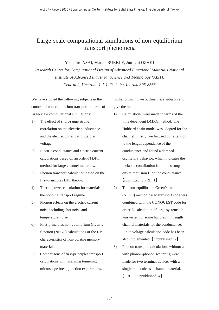# Large-scale computational simulations of non-equilibrium transport phenomena

#### Yoshihiro ASAI, Marius BÜRKLE, Jun-ichi OZAKI

*Research Center for Computational Design of Advanced Functional Materials National Institute of Advanced Industrial Science and Technology (AIST), Central 2, Umezono 1-1-1, Tsukuba, Ibaraki 305-8568*

We have studied the following subjects in the context of non**-**equilibrium transport in terms of large**-**scale computational simulations:

- 1) The effect of short**-**range strong correlation on the electric conductance and the electric current at finite bias voltage.
- 2) Electric conductance and electric current calculations based on an order-N DFT method for large channel materials.
- 3) Phonon transport calculation based on the first-principles DFT theory.
- 4) Thermopower calculation for materials in the hopping transport regime.
- 5) Phonon effects on the electric current noise including shot noise and temperature noise.
- 6) First-principles non-equilibrium Green's function (NEGF) calculations of the I-V characteristics of non-volatile memory materials.
- 7) Comparisons of first-principles transport calculations with scanning tunneling microscope break junction experiments.

In the following we outline these subjects and give the main:

- 1) Calculations were made in terms of the time dependent DMRG method. The Hubbard chain model was adopted for the channel. Firstly, we focused our attention to the length dependence of the conductance and found a damped oscillatory behavior, which indicates the inelastic contribution from the strong onsite repulsion U on the conductance. [submitted to PRL: 1]
- 2) The non-equilibrium Green's function (NEGF) method based transport code was combined with the CONQUEST code for order-N calculation of large systems. It was tested for some hundred nm length channel materials for the conductance. Finite voltage calculation code has been also implemented. [unpublished: 2]
- 3) Phonon transport calculations without and with phonon-phonon scattering were made for two terminal devices with a single molecule as a channel material. PRB: 3, unpublished: 4-